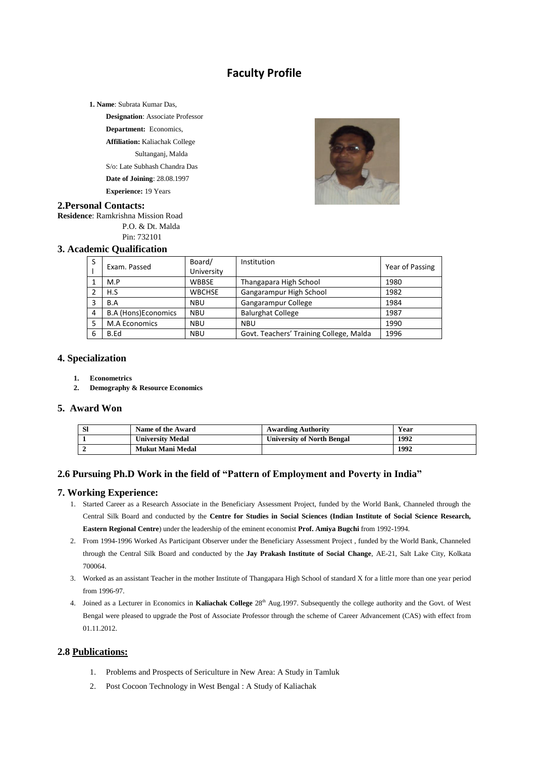# **Faculty Profile**

**1. Name**: Subrata Kumar Das,

**Designation**: Associate Professor **Department:** Economics,

**Affiliation:** Kaliachak College Sultanganj, Malda

S/o: Late Subhash Chandra Das

**Date of Joining**: 28.08.1997

**Experience:** 19 Years



#### **2.Personal Contacts:**

**Residence**: Ramkrishna Mission Road P.O. & Dt. Malda

Pin: 732101

### **3. Academic Qualification**

| S | Exam. Passed               | Board/        | Institution                             | Year of Passing |  |
|---|----------------------------|---------------|-----------------------------------------|-----------------|--|
|   |                            | University    |                                         |                 |  |
|   | M.P                        | <b>WBBSE</b>  | Thangapara High School                  | 1980            |  |
|   | H.S                        | <b>WBCHSE</b> | Gangarampur High School                 | 1982            |  |
|   | B.A                        | <b>NBU</b>    | Gangarampur College                     | 1984            |  |
| 4 | <b>B.A (Hons)Economics</b> | <b>NBU</b>    | <b>Balurghat College</b>                | 1987            |  |
|   | <b>M.A Economics</b>       | <b>NBU</b>    | <b>NBU</b>                              | 1990            |  |
| 6 | B.Ed                       | <b>NBU</b>    | Govt. Teachers' Training College, Malda | 1996            |  |

#### **4. Specialization**

- **1. Econometrics**
- **2. Demography & Resource Economics**

#### **5. Award Won**

| Sl | Name of the Award       | <b>Awarding Authority</b>         | Year |
|----|-------------------------|-----------------------------------|------|
|    | <b>University Medal</b> | <b>University of North Bengal</b> | 1992 |
|    | Mukut Mani Medal        |                                   | 1992 |

#### **2.6 Pursuing Ph.D Work in the field of "Pattern of Employment and Poverty in India"**

#### **7. Working Experience:**

- 1. Started Career as a Research Associate in the Beneficiary Assessment Project, funded by the World Bank, Channeled through the Central Silk Board and conducted by the **Centre for Studies in Social Sciences (Indian Institute of Social Science Research, Eastern Regional Centre**) under the leadership of the eminent economist **Prof. Amiya Bugchi** from 1992-1994.
- 2. From 1994-1996 Worked As Participant Observer under the Beneficiary Assessment Project , funded by the World Bank, Channeled through the Central Silk Board and conducted by the **Jay Prakash Institute of Social Change**, AE-21, Salt Lake City, Kolkata 700064.
- 3. Worked as an assistant Teacher in the mother Institute of Thangapara High School of standard X for a little more than one year period from 1996-97.
- 4. Joined as a Lecturer in Economics in **Kaliachak College** 28th Aug.1997. Subsequently the college authority and the Govt. of West Bengal were pleased to upgrade the Post of Associate Professor through the scheme of Career Advancement (CAS) with effect from 01.11.2012.

## **2.8 Publications:**

- 1. Problems and Prospects of Sericulture in New Area: A Study in Tamluk
- 2. Post Cocoon Technology in West Bengal : A Study of Kaliachak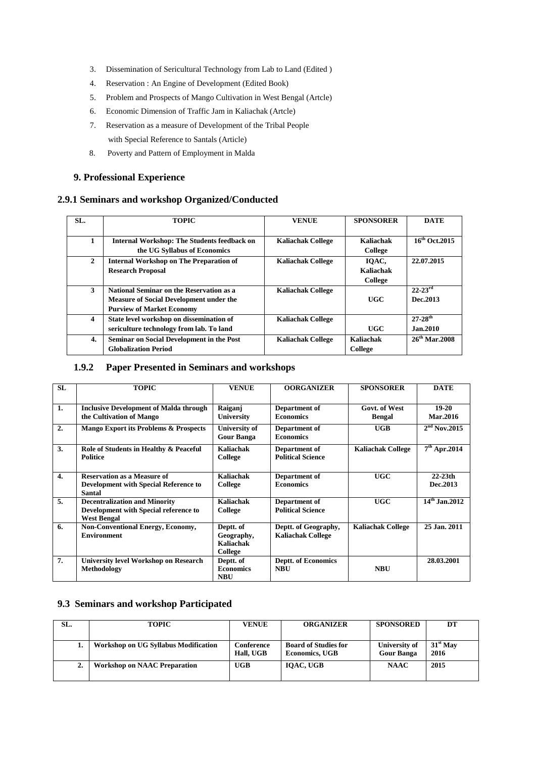- 3. Dissemination of Sericultural Technology from Lab to Land (Edited )
- 4. Reservation : An Engine of Development (Edited Book)
- 5. Problem and Prospects of Mango Cultivation in West Bengal (Artcle)
- 6. Economic Dimension of Traffic Jam in Kaliachak (Artcle)
- 7. Reservation as a measure of Development of the Tribal People with Special Reference to Santals (Article)
- 8. Poverty and Pattern of Employment in Malda

#### **9. Professional Experience**

#### **2.9.1 Seminars and workshop Organized/Conducted**

| SL.          | <b>TOPIC</b>                                                                                                                   | <b>VENUE</b>             | <b>SPONSORER</b>                     | <b>DATE</b>                          |
|--------------|--------------------------------------------------------------------------------------------------------------------------------|--------------------------|--------------------------------------|--------------------------------------|
|              | <b>Internal Workshop: The Students feedback on</b><br>the UG Syllabus of Economics                                             | <b>Kaliachak College</b> | Kaliachak<br><b>College</b>          | $16^{th}$ Oct. 2015                  |
| $\mathbf{2}$ | <b>Internal Workshop on The Preparation of</b><br><b>Research Proposal</b>                                                     | <b>Kaliachak College</b> | IOAC.<br>Kaliachak<br><b>College</b> | 22.07.2015                           |
| 3            | National Seminar on the Reservation as a<br><b>Measure of Social Development under the</b><br><b>Purview of Market Economy</b> | <b>Kaliachak College</b> | UGC                                  | $22 - 23$ <sup>rd</sup><br>Dec. 2013 |
| 4            | State level workshop on dissemination of<br>sericulture technology from lab. To land                                           | <b>Kaliachak College</b> | UGC                                  | $27-28^{th}$<br>Jan.2010             |
| 4.           | Seminar on Social Development in the Post<br><b>Globalization Period</b>                                                       | <b>Kaliachak College</b> | Kaliachak<br>College                 | $26^{th}$ Mar. 2008                  |

#### **1.9.2 Paper Presented in Seminars and workshops**

| <b>SL</b>        | <b>TOPIC</b>                                  | <b>VENUE</b>                              | <b>OORGANIZER</b>                 | <b>SPONSORER</b>         | <b>DATE</b>              |
|------------------|-----------------------------------------------|-------------------------------------------|-----------------------------------|--------------------------|--------------------------|
| 1.               | <b>Inclusive Development of Malda through</b> | Raiganj                                   | Department of                     | <b>Govt. of West</b>     | $19-20$                  |
|                  | the Cultivation of Mango                      | University                                | <b>Economics</b>                  | <b>Bengal</b>            | <b>Mar.2016</b>          |
| 2.               | Mango Export its Problems & Prospects         | <b>University of</b><br><b>Gour Banga</b> | Department of<br><b>Economics</b> | <b>UGB</b>               | 2 <sup>nd</sup> Nov.2015 |
|                  |                                               |                                           |                                   |                          |                          |
| 3.               | Role of Students in Healthy & Peaceful        | Kaliachak                                 | Department of                     | <b>Kaliachak College</b> | $7th$ Apr.2014           |
|                  | <b>Politice</b>                               | College                                   | <b>Political Science</b>          |                          |                          |
|                  |                                               |                                           |                                   |                          |                          |
| $\overline{4}$ . | <b>Reservation as a Measure of</b>            | Kaliachak                                 | Department of                     | UGC                      | $22 - 23$ th             |
|                  | <b>Development with Special Reference to</b>  | College                                   | <b>Economics</b>                  |                          | Dec.2013                 |
|                  | <b>Santal</b>                                 |                                           |                                   |                          |                          |
| 5.               | <b>Decentralization and Minority</b>          | Kaliachak                                 | Department of                     | <b>UGC</b>               | $14th$ Jan.2012          |
|                  | Development with Special reference to         | <b>College</b>                            | <b>Political Science</b>          |                          |                          |
|                  | <b>West Bengal</b>                            |                                           |                                   |                          |                          |
| 6.               | <b>Non-Conventional Energy, Economy,</b>      | Deptt. of                                 | Deptt. of Geography,              | <b>Kaliachak College</b> | 25 Jan. 2011             |
|                  | <b>Environment</b>                            | Geography,                                | <b>Kaliachak College</b>          |                          |                          |
|                  |                                               | Kaliachak                                 |                                   |                          |                          |
|                  |                                               | College                                   |                                   |                          |                          |
| 7.               | <b>University level Workshop on Research</b>  | Deptt. of                                 | <b>Deptt. of Economics</b>        |                          | 28.03.2001               |
|                  | Methodology                                   | <b>Economics</b>                          | <b>NBU</b>                        | <b>NBU</b>               |                          |
|                  |                                               | <b>NBU</b>                                |                                   |                          |                          |

## **9.3 Seminars and workshop Participated**

| SL. | <b>TOPIC</b>                         | <b>VENUE</b>            | <b>ORGANIZER</b>                                     | <b>SPONSORED</b>                   | DT                 |
|-----|--------------------------------------|-------------------------|------------------------------------------------------|------------------------------------|--------------------|
|     |                                      |                         |                                                      |                                    |                    |
|     | Workshop on UG Syllabus Modification | Conference<br>Hall, UGB | <b>Board of Studies for</b><br><b>Economics, UGB</b> | University of<br><b>Gour Banga</b> | $31st$ May<br>2016 |
| ۷.  | <b>Workshop on NAAC Preparation</b>  | <b>UGB</b>              | IOAC, UGB                                            | <b>NAAC</b>                        | 2015               |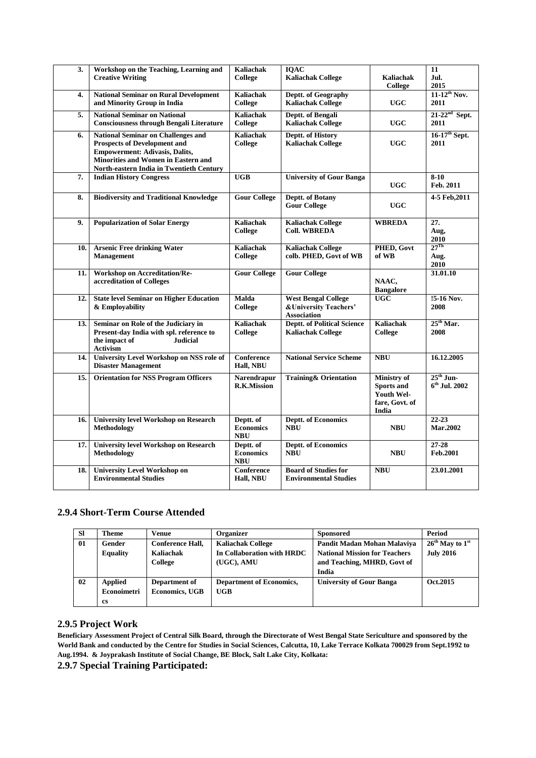| 3.  | Workshop on the Teaching, Learning and<br><b>Creative Writing</b>                                                                                                                                                          | <b>Kaliachak</b><br><b>College</b>          | <b>IQAC</b><br><b>Kaliachak College</b>                                              | <b>Kaliachak</b><br>College                                                      | $\overline{11}$<br>Jul.<br>2015     |
|-----|----------------------------------------------------------------------------------------------------------------------------------------------------------------------------------------------------------------------------|---------------------------------------------|--------------------------------------------------------------------------------------|----------------------------------------------------------------------------------|-------------------------------------|
| 4.  | <b>National Seminar on Rural Development</b><br>and Minority Group in India                                                                                                                                                | <b>Kaliachak</b><br><b>College</b>          | Deptt. of Geography<br><b>Kaliachak College</b>                                      | <b>UGC</b>                                                                       | $11-12^{th}$ Nov.<br>2011           |
| 5.  | <b>National Seminar on National</b><br><b>Consciousness through Bengali Literature</b>                                                                                                                                     | <b>Kaliachak</b><br>College                 | Deptt. of Bengali<br><b>Kaliachak College</b>                                        | <b>UGC</b>                                                                       | $21-22nd$ Sept.<br>2011             |
| 6.  | <b>National Seminar on Challenges and</b><br><b>Prospects of Development and</b><br><b>Empowerment: Adivasis, Dalits,</b><br><b>Minorities and Women in Eastern and</b><br><b>North-eastern India in Twentieth Century</b> | <b>Kaliachak</b><br>College                 | Deptt. of History<br><b>Kaliachak College</b>                                        | <b>UGC</b>                                                                       | $16-17$ <sup>th</sup> Sept.<br>2011 |
| 7.  | <b>Indian History Congress</b>                                                                                                                                                                                             | <b>UGB</b>                                  | <b>University of Gour Banga</b>                                                      | <b>UGC</b>                                                                       | $8-10$<br>Feb. 2011                 |
| 8.  | <b>Biodiversity and Traditional Knowledge</b>                                                                                                                                                                              | <b>Gour College</b>                         | <b>Deptt. of Botany</b><br><b>Gour College</b>                                       | <b>UGC</b>                                                                       | 4-5 Feb, 2011                       |
| 9.  | <b>Popularization of Solar Energy</b>                                                                                                                                                                                      | <b>Kaliachak</b><br><b>College</b>          | <b>Kaliachak College</b><br><b>Coll. WBREDA</b>                                      | <b>WBREDA</b>                                                                    | 27.<br>Aug,<br>2010                 |
| 10. | <b>Arsenic Free drinking Water</b><br>Management                                                                                                                                                                           | <b>Kaliachak</b><br><b>College</b>          | <b>Kaliachak College</b><br>colb. PHED, Govt of WB                                   | PHED, Govt<br>of WB                                                              | $27^{\text{Th}}$<br>Aug.<br>2010    |
| 11. | Workshop on Accreditation/Re-<br>accreditation of Colleges                                                                                                                                                                 | <b>Gour College</b>                         | <b>Gour College</b>                                                                  | NAAC,<br><b>Bangalore</b>                                                        | 31.01.10                            |
| 12. | <b>State level Seminar on Higher Education</b><br>& Employability                                                                                                                                                          | <b>Malda</b><br>College                     | <b>West Bengal College</b><br><b>&amp;University Teachers'</b><br><b>Association</b> | <b>UGC</b>                                                                       | 15-16 Nov.<br>2008                  |
| 13. | Seminar on Role of the Judiciary in<br>Present-day India with spl. reference to<br>the impact of<br><b>Judicial</b><br>Activism                                                                                            | <b>Kaliachak</b><br>College                 | <b>Deptt. of Political Science</b><br><b>Kaliachak College</b>                       | <b>Kaliachak</b><br>College                                                      | $25th$ Mar.<br>2008                 |
| 14. | <b>University Level Workshop on NSS role of</b><br><b>Disaster Management</b>                                                                                                                                              | Conference<br>Hall, NBU                     | <b>National Service Scheme</b>                                                       | <b>NBU</b>                                                                       | 16.12.2005                          |
| 15. | <b>Orientation for NSS Program Officers</b>                                                                                                                                                                                | <b>Narendrapur</b><br><b>R.K.Mission</b>    | <b>Training&amp; Orientation</b>                                                     | <b>Ministry</b> of<br><b>Sports and</b><br>Youth Wel-<br>fare, Govt. of<br>India | $25th$ Jun-<br>$6th$ Jul. 2002      |
| 16. | <b>University level Workshop on Research</b><br><b>Methodology</b>                                                                                                                                                         | Deptt. of<br><b>Economics</b><br><b>NBU</b> | <b>Deptt. of Economics</b><br><b>NBU</b>                                             | <b>NBU</b>                                                                       | $22 - 23$<br><b>Mar.2002</b>        |
| 17. | <b>University level Workshop on Research</b><br>Methodology                                                                                                                                                                | Deptt. of<br><b>Economics</b><br><b>NBU</b> | <b>Deptt. of Economics</b><br><b>NBU</b>                                             | <b>NBU</b>                                                                       | 27-28<br>Feb.2001                   |
| 18. | <b>University Level Workshop on</b><br><b>Environmental Studies</b>                                                                                                                                                        | Conference<br>Hall, NBU                     | <b>Board of Studies for</b><br><b>Environmental Studies</b>                          | <b>NBU</b>                                                                       | 23.01.2001                          |

## **2.9.4 Short-Term Course Attended**

| <b>SI</b> | Theme           | Venue                   | Organizer                       | <b>Sponsored</b>                     | Period              |
|-----------|-----------------|-------------------------|---------------------------------|--------------------------------------|---------------------|
| 01        | Gender          | <b>Conference Hall,</b> | <b>Kaliachak College</b>        | Pandit Madan Mohan Malaviya          | $26th$ May to $1st$ |
|           | <b>Equality</b> | Kaliachak               | In Collaboration with HRDC      | <b>National Mission for Teachers</b> | <b>July 2016</b>    |
|           |                 | College                 | (UGC), AMU                      | and Teaching, MHRD, Govt of          |                     |
|           |                 |                         |                                 | India                                |                     |
| 02        | <b>Applied</b>  | Department of           | <b>Department of Economics,</b> | <b>University of Gour Banga</b>      | Oct.2015            |
|           | Econoimetri     | <b>Economics, UGB</b>   | UGB                             |                                      |                     |
|           | <b>cs</b>       |                         |                                 |                                      |                     |

#### **2.9.5 Project Work**

**Beneficiary Assessment Project of Central Silk Board, through the Directorate of West Bengal State Sericulture and sponsored by the World Bank and conducted by the Centre for Studies in Social Sciences, Calcutta, 10, Lake Terrace Kolkata 700029 from Sept.1992 to Aug.1994. & Joyprakash Institute of Social Change, BE Block, Salt Lake City, Kolkata:** 

**2.9.7 Special Training Participated:**